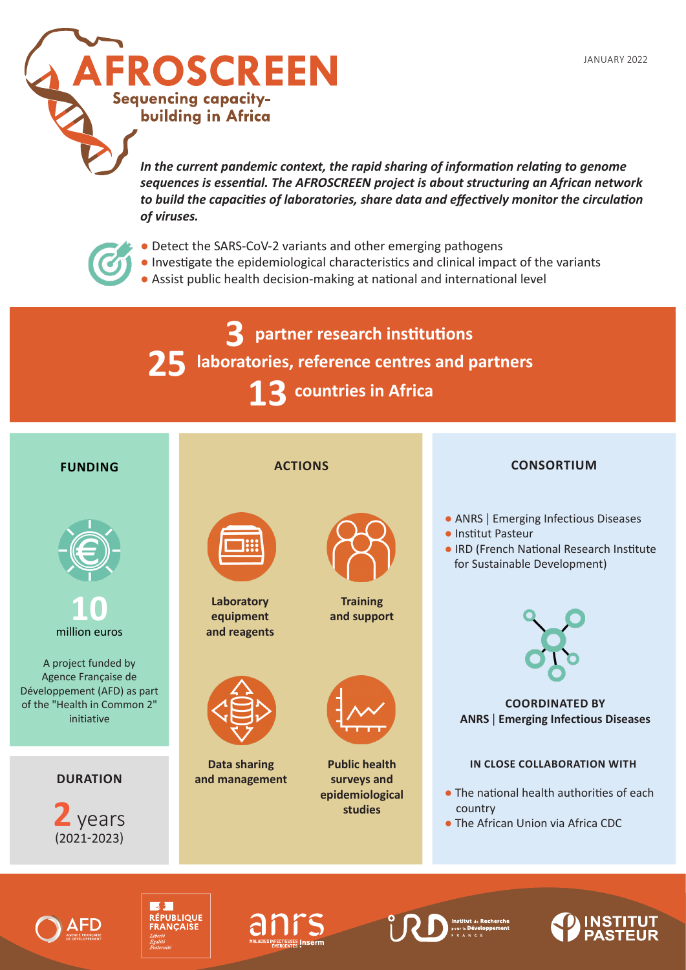

*In the current pandemic context, the rapid sharing of information relating to genome sequences is essential. The AFROSCREEN project is about structuring an African network to build the capacities of laboratories, share data and effectively monitor the circulation of viruses.*



- Detect the SARS-CoV-2 variants and other emerging pathogens
- Investigate the epidemiological characteristics and clinical impact of the variants
- Assist public health decision-making at national and international level

**25 laboratories, reference centres and partners 13 countries in Africa 3 partner research institutions**





FRANCAISE